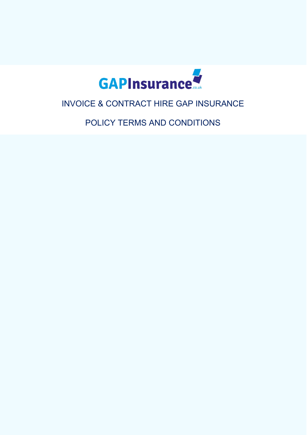

# INVOICE & CONTRACT HIRE GAP INSURANCE

POLICY TERMS AND CONDITIONS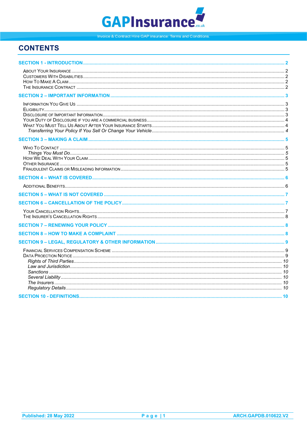# **GAPInsurance**

Invoice & Contract Hire GAP insurance: Terms and Conditions.

# **CONTENTS**

<span id="page-1-0"></span>

| <b><i>CECTION 40 _ DEFINITIONS</i></b> | 10 |
|----------------------------------------|----|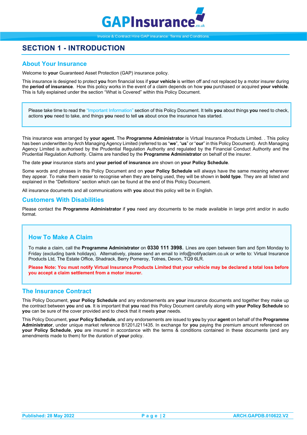

# **SECTION 1 - INTRODUCTION**

# <span id="page-2-0"></span>**About Your Insurance**

Welcome to **your** Guaranteed Asset Protection (GAP) insurance policy.

This insurance is designed to protect **you** from financial loss if **your vehicle** is written off and not replaced by a motor insurer during the **period of insurance**. How this policy works in the event of a claim depends on how **you** purchased or acquired **your vehicle**. This is fully explained under the section "What is Covered" within this Policy Document.

Please take time to read the "Important Information" section of this Policy Document. It tells **you** about things **you** need to check, actions **you** need to take, and things **you** need to tell **us** about once the insurance has started.

This insurance was arranged by **your agent.** The **Programme Administrator** is Virtual Insurance Products Limited. . This policy has been underwritten by Arch Managing Agency Limited (referred to as "**we**", "**us**" or "**our**" in this Policy Document). Arch Managing Agency Limited is authorised by the Prudential Regulation Authority and regulated by the Financial Conduct Authority and the Prudential Regulation Authority. Claims are handled by the **Programme Administrator** on behalf of the insurer.

The date **your** insurance starts and **your period of insurance** are shown on **your Policy Schedule**.

Some words and phrases in this Policy Document and on **your Policy Schedule** will always have the same meaning wherever they appear. To make them easier to recognise when they are being used, they will be shown in **bold type**. They are all listed and explained in the "Definitions" section which can be found at the end of this Policy Document.

All insurance documents and all communications with **you** about this policy will be in English.

### <span id="page-2-1"></span>**Customers With Disabilities**

Please contact the **Programme Administrator** if **you** need any documents to be made available in large print and/or in audio format.

# <span id="page-2-2"></span>**How To Make A Claim**

To make a claim, call the **Programme Administrator** on **0330 111 3998**. Lines are open between 9am and 5pm Monday to Friday (excluding bank holidays). Alternatively, please send an email to info@notifyaclaim.co.uk or write to: Virtual Insurance Products Ltd, The Estate Office, Shadrack, Berry Pomeroy, Totnes, Devon, TQ9 6LR.

**Please Note: You must notify Virtual Insurance Products Limited that your vehicle may be declared a total loss before you accept a claim settlement from a motor insurer.**

### <span id="page-2-3"></span>**The Insurance Contract**

This Policy Document, **your Policy Schedule** and any endorsements are **your** insurance documents and together they make up the contract between **you** and **us**. It is important that **you** read this Policy Document carefully along with **your Policy Schedule** so **you** can be sure of the cover provided and to check that it meets **your** needs.

This Policy Document, **your Policy Schedule**, and any endorsements are issued to **you** by your **agent** on behalf of the **Programme Administrator**, under unique market reference B1201J211435. In exchange for **you** paying the premium amount referenced on **your Policy Schedule**, **you** are insured in accordance with the terms & conditions contained in these documents (and any amendments made to them) for the duration of **your** policy.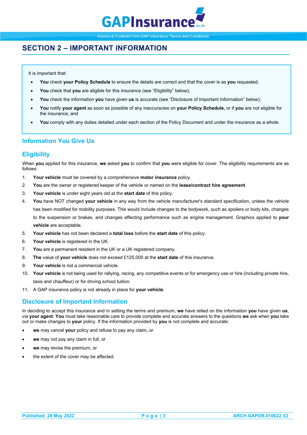

# <span id="page-3-0"></span>**SECTION 2 – IMPORTANT INFORMATION**

It is important that:

- **You** check **your Policy Schedule** to ensure the details are correct and that the cover is as **you** requested;
- **You** check that **you** are eligible for this insurance (see "Eligibility" below);
- **You** check the information **you** have given **us** is accurate (see "Disclosure of Important Information" below);
- **You** notify **your agent** as soon as possible of any inaccuracies on **your Policy Schedule,** or if **you** are not eligible for the insurance; and
- **You** comply with any duties detailed under each section of the Policy Document and under the insurance as a whole.

# <span id="page-3-1"></span>**Information You Give Us**

### <span id="page-3-2"></span>**Eligibility**

When **you** applied for this insurance, **we** asked **you** to confirm that **you** were eligible for cover. The eligibility requirements are as follows:

- 1. **Your vehicle** must be covered by a comprehensive **motor insurance** policy.
- 2. **You** are the owner or registered keeper of the vehicle or named on the **lease/contract hire agreement**.
- 3. **Your vehicle** is under eight years old at the **start date** of this policy.
- 4. **You** have NOT changed **your vehicle** in any way from the vehicle manufacturer's standard specification, unless the vehicle has been modified for mobility purposes. This would include changes to the bodywork, such as spoilers or body kits, changes to the suspension or brakes, and changes affecting performance such as engine management. Graphics applied to **your vehicle** are acceptable.
- 5. **Your vehicle** has not been declared a **total loss** before the **start date** of this policy.
- 6. **Your vehicle** is registered in the UK.
- 7. **You** are a permanent resident in the UK or a UK registered company.
- 8. **The** value of **your vehicle** does not exceed £125,000 at the **start date** of this insurance.
- 9. **Your vehicle** is not a commercial vehicle.
- 10. **Your vehicle** is not being used for rallying, racing, any competitive events or for emergency use or hire (including private hire, taxis and chauffeur) or for driving school tuition.
- 11. A GAP insurance policy is not already in place for **your vehicle.**

### <span id="page-3-3"></span>**Disclosure of Important Information**

In deciding to accept this insurance and in setting the terms and premium, **we** have relied on the information **you** have given **us**, via **your agent**. **You** must take reasonable care to provide complete and accurate answers to the questions **we** ask when **you** take out or make changes to **your** policy. If the information provided by **you** is not complete and accurate:

- **we** may cancel **your** policy and refuse to pay any claim, or
- **we** may not pay any claim in full, or
- **we** may revise the premium, or
- the extent of the cover may be affected.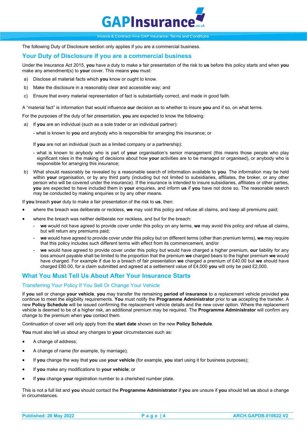

The following Duty of Disclosure section only applies if you are a commercial business.

### <span id="page-4-0"></span>**Your Duty of Disclosure if you are a commercial business**

Under the Insurance Act 2015, **you** have a duty to make a fair presentation of the risk to **us** before this policy starts and when **you**  make any amendment(s) to **your** cover. This means **you** must:

- a) Disclose all material facts which **you** know or ought to know.
- b) Make the disclosure in a reasonably clear and accessible way; and
- c) Ensure that every material representation of fact is substantially correct, and made in good faith.

A "material fact" is information that would influence **our** decision as to whether to insure **you** and if so, on what terms.

For the purposes of the duty of fair presentation, **you** are expected to know the following:

- a) If **you** are an individual (such as a sole trader or an individual partner):
	- what is known to **you** and anybody who is responsible for arranging this insurance; or

If **you** are not an individual (such as a limited company or a partnership):

- what is known to anybody who is part of **your** organisation's senior management (this means those people who play significant roles in the making of decisions about how **your** activities are to be managed or organised), or anybody who is responsible for arranging this insurance;
- b) What should reasonably be revealed by a reasonable search of information available to **you**. The information may be held within **your** organisation, or by any third party (including but not limited to subsidiaries, affiliates, the broker, or any other person who will be covered under the insurance). If the insurance is intended to insure subsidiaries, affiliates or other parties, **you** are expected to have included them in **your** enquiries, and inform **us** if **you** have not done so. The reasonable search may be conducted by making enquiries or by any other means.

If **you** breach **your** duty to make a fair presentation of the risk to **us**, then:

- where the breach was deliberate or reckless, **we** may void this policy and refuse all claims, and keep all premiums paid;
- where the breach was neither deliberate nor reckless, and but for the breach:
	- we would not have agreed to provide cover under this policy on any terms, we may avoid this policy and refuse all claims, but will return any premiums paid;
	- **we** would have agreed to provide cover under this policy but on different terms (other than premium terms), **we** may require that this policy includes such different terms with effect from its commencement, and/or
	- **we** would have agreed to provide cover under this policy but would have charged a higher premium, **our** liability for any loss amount payable shall be limited to the proportion that the premium **we** charged bears to the higher premium **we** would have charged. For example if due to a breach of fair presentation **we** charged a premium of £40.00 but **we** should have charged £80.00, for a claim submitted and agreed at a settlement value of £4,000 **you** will only be paid £2,000*.*

### <span id="page-4-1"></span>**What You Must Tell Us About After Your Insurance Starts**

### <span id="page-4-2"></span>Transferring Your Policy If You Sell Or Change Your Vehicle

If **you** sell or change **your vehicle**, **you** may transfer the remaining **period of insurance** to a replacement vehicle provided **you** continue to meet the eligibility requirements. **You** must notify the **Programme Administrator** prior to **us** accepting the transfer. A new **Policy Schedule** will be issued confirming the replacement vehicle details and the new cover option. Where the replacement vehicle is deemed to be of a higher risk, an additional premium may be required. The **Programme Administrator** will confirm any change to the premium when **you** contact them.

Continuation of cover will only apply from the **start date** shown on the new **Policy Schedule**.

**You** must also tell us about any changes to **your** circumstances such as:

- A change of address;
- A change of name (for example, by marriage);
- If **you** change the way that **you** use **your vehicle** (for example, **you** start using it for business purposes);
- If **you** make any modifications to **your vehicle**; or
- If **you** change **your** registration number to a cherished number plate.

This is not a full list and **you** should contact the **Programme Administrator** if **you** are unsure if **you** should tell **us** about a change in circumstances.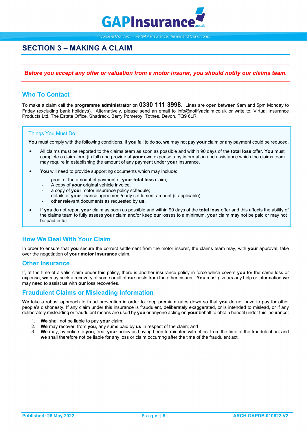

# <span id="page-5-0"></span>**SECTION 3 – MAKING A CLAIM**

### *Before you accept any offer or valuation from a motor insurer, you should notify our claims team.*

# <span id="page-5-1"></span>**Who To Contact**

To make a claim call the **programme administrator** on **0330 111 3998**. Lines are open between 9am and 5pm Monday to Friday (excluding bank holidays). Alternatively, please send an email to info@notifyaclaim.co.uk or write to: Virtual Insurance Products Ltd, The Estate Office, Shadrack, Berry Pomeroy, Totnes, Devon, TQ9 6LR.

### <span id="page-5-2"></span>Things You Must Do

**You** must comply with the following conditions. If **you** fail to do so, **we** may not pay **your** claim or any payment could be reduced.

- All claims must be reported to the claims team as soon as possible and within 90 days of the **total loss** offer. **You** must complete a claim form (in full) and provide at **your** own expense, any information and assistance which the claims team may require in establishing the amount of any payment under **your** insurance.
- You will need to provide supporting documents which may include:
	- proof of the amount of payment of **your total loss** claim;
	- A copy of **your** original vehicle invoice;
	- a copy of **your** motor insurance policy schedule;
	- details of **your** finance agreement/early settlement amount (if applicable);
	- other relevant documents as requested by **us**.
- If **you** do not report **your** claim as soon as possible and within 90 days of the **total loss** offer and this affects the ability of the claims team to fully assess **your** claim and/or keep **our** losses to a minimum, **your** claim may not be paid or may not be paid in full.

### <span id="page-5-3"></span>**How We Deal With Your Claim**

In order to ensure that **you** secure the correct settlement from the motor insurer, the claims team may, with **your** approval, take over the negotiation of **your motor insurance** claim.

### <span id="page-5-4"></span>**Other Insurance**

If, at the time of a valid claim under this policy, there is another insurance policy in force which covers **you** for the same loss or expense, **we** may seek a recovery of some or all of **our** costs from the other insurer. **You** must give **us** any help or information **we** may need to assist **us** with **our** loss recoveries.

### <span id="page-5-5"></span>**Fraudulent Claims or Misleading Information**

**We** take a robust approach to fraud prevention in order to keep premium rates down so that **you** do not have to pay for other people's dishonesty. If any claim under this insurance is fraudulent, deliberately exaggerated, or is intended to mislead, or if any deliberately misleading or fraudulent means are used by **you** or anyone acting on **your** behalf to obtain benefit under this insurance:

- 1. **We** shall not be liable to pay **your** claim;
- 2. **We** may recover, from **you**, any sums paid by **us** in respect of the claim; and
- 3. **We** may, by notice to **you**, treat **your** policy as having been terminated with effect from the time of the fraudulent act and **we** shall therefore not be liable for any loss or claim occurring after the time of the fraudulent act.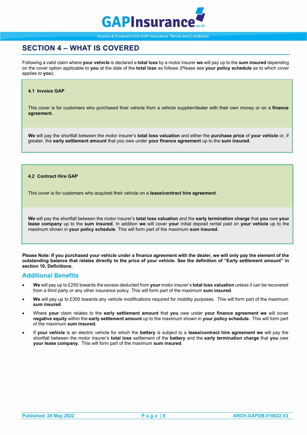

# <span id="page-6-0"></span>**SECTION 4 – WHAT IS COVERED**

Following a valid claim where **your vehicle** is declared a **total loss** by a motor insurer **we** will pay up to the **sum insured** depending on the cover option applicable to **you** at the date of the **total loss** as follows (Please see **your policy schedule** as to which cover applies to **you**):

#### **4.1 Invoice GAP**

This cover is for customers who purchased their vehicle from a vehicle supplier/dealer with their own money or on a **finance agreement.**

**We** will pay the shortfall between the motor insurer's **total loss valuation** and either the **purchase price** of **your vehicle** or, if greater, the **early settlement amount** that you owe under **your finance agreement** up to the **sum insured.**

#### **4.2 Contract Hire GAP**

This cover is for customers who acquired their vehicle on a **lease/contract hire agreement**.

**We** will pay the shortfall between the motor insurer's **total loss valuation** and the **early termination charge** that **you** owe **your lease company** up to the **sum insured**. In addition **we** will cover **your** initial deposit rental paid on **your vehicle** up to the maximum shown in **your policy schedule**. This will form part of the maximum **sum insured**.

**Please Note: If you purchased your vehicle under a finance agreement with the dealer, we will only pay the element of the outstanding balance that relates directly to the price of your vehicle. See the definition of "Early settlement amount" in section 10, Definitions.** 

### <span id="page-6-1"></span>**Additional Benefits**

- **We** will pay up to £250 towards the excess deducted from **your** motor insurer's **total loss valuation** unless it can be recovered from a third party or any other insurance policy. This will form part of the maximum **sum insured**.
- **We** will pay up to £300 towards any vehicle modifications required for mobility purposes. This will form part of the maximum **sum insured**.
- Where **your** claim relates to the **early settlement amount** that **you** owe under **your finance agreement we** will cover **negative equity** within the **early settlement amount** up to the maximum shown in **your policy schedule.** This will form part of the maximum **sum insured.**
- <span id="page-6-2"></span>• If **your vehicle** is an electric vehicle for which the **battery** is subject to a **lease/contract hire agreement we** will pay the shortfall between the motor insurer's **total loss** settlement of the **battery** and the **early termination charge** that **you** owe **your lease company.** This will form part of the maximum **sum insured**.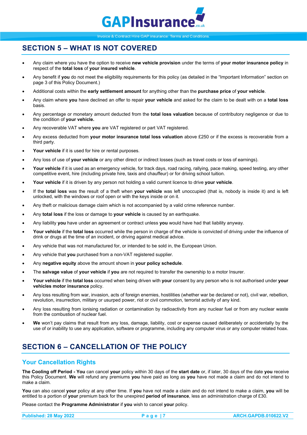

# **SECTION 5 – WHAT IS NOT COVERED**

- Any claim where you have the option to receive **new vehicle provision** under the terms of **your motor insurance policy** in respect of the **total loss** of **your insured vehicle**.
- Any benefit if **you** do not meet the eligibility requirements for this policy (as detailed in the "Important Information" section on page 3 of this Policy Document.)
- Additional costs within the **early settlement amount** for anything other than the **purchase price** of **your vehicle**.
- Any claim where **you** have declined an offer to repair **your vehicle** and asked for the claim to be dealt with on a **total loss** basis.
- Any percentage or monetary amount deducted from the **total loss valuation** because of contributory negligence or due to the condition of **your vehicle.**
- Any recoverable VAT where **you** are VAT registered or part VAT registered.
- Any excess deducted from **your motor insurance total loss valuation** above £250 or if the excess is recoverable from a third party.
- Your vehicle if it is used for hire or rental purposes.
- Any loss of use of **your vehicle** or any other direct or indirect losses (such as travel costs or loss of earnings).
- **Your vehicle** if it is used as an emergency vehicle, for track days, road racing, rallying, pace making, speed testing, any other competitive event, hire (including private hire, taxis and chauffeur) or for driving school tuition.
- **Your vehicle** if it is driven by any person not holding a valid current licence to drive **your vehicle**.
- If the **total loss** was the result of a theft when **your vehicle** was left unoccupied (that is, nobody is inside it) and is left unlocked, with the windows or roof open or with the keys inside or on it.
- Any theft or malicious damage claim which is not accompanied by a valid crime reference number.
- Any **total loss** if the loss or damage to **your vehicle** is caused by an earthquake.
- Any liability **you** have under an agreement or contract unless **you** would have had that liability anyway.
- **Your vehicle** if the **total loss** occurred while the person in charge of the vehicle is convicted of driving under the influence of drink or drugs at the time of an incident, or driving against medical advice.
- Any vehicle that was not manufactured for, or intended to be sold in, the European Union.
- Any vehicle that **you** purchased from a non-VAT registered supplier.
- Any **negative equity** above the amount shown in **your policy schedule**.
- The **salvage value** of **your vehicle** if **you** are not required to transfer the ownership to a motor Insurer.
- **Your vehicle** if the **total loss** occurred when being driven with **your** consent by any person who is not authorised under **your vehicles motor insurance** policy.
- Any loss resulting from war, invasion, acts of foreign enemies, hostilities (whether war be declared or not), civil war, rebellion, revolution, insurrection, military or usurped power, riot or civil commotion, terrorist activity of any kind.
- Any loss resulting from ionising radiation or contamination by radioactivity from any nuclear fuel or from any nuclear waste from the combustion of nuclear fuel.
- **We** won't pay claims that result from any loss, damage, liability, cost or expense caused deliberately or accidentally by the use of or inability to use any application, software or programme, including any computer virus or any computer related hoax.

# <span id="page-7-0"></span>**SECTION 6 – CANCELLATION OF THE POLICY**

# <span id="page-7-1"></span>**Your Cancellation Rights**

**The Cooling off Period - You** can cancel **your** policy within 30 days of the **start date** or, if later, 30 days of the date **you** receive this Policy Document. **We** will refund any premiums **you** have paid as long as **you** have not made a claim and do not intend to make a claim.

**You** can also cancel **your** policy at any other time. If **you** have not made a claim and do not intend to make a claim, **you** will be entitled to a portion of **your** premium back for the unexpired **period of insurance**, less an administration charge of £30.

<span id="page-7-2"></span>Please contact the **Programme Administrator** if **you** wish to cancel **your** policy.

**Published: 28 May 2022 Page | 7 ARCH.GAPDB.010622.V2**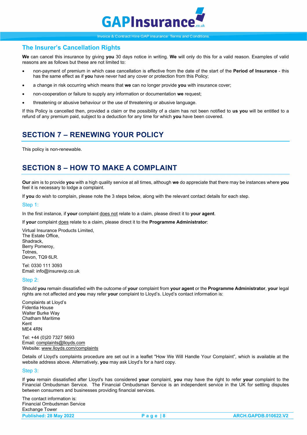

### **The Insurer's Cancellation Rights**

**We** can cancel this insurance by giving **you** 30 days notice in writing. **We** will only do this for a valid reason. Examples of valid reasons are as follows but these are not limited to:

- non-payment of premium in which case cancellation is effective from the date of the start of the **Period of Insurance** this has the same effect as if **you** have never had any cover or protection from this Policy;
- a change in risk occurring which means that **we** can no longer provide **you** with insurance cover;
- non-cooperation or failure to supply any information or documentation **we** request;
- threatening or abusive behaviour or the use of threatening or abusive language.

If this Policy is cancelled then, provided a claim or the possibility of a claim has not been notified to **us you** will be entitled to a refund of any premium paid, subject to a deduction for any time for which **you** have been covered.

# <span id="page-8-0"></span>**SECTION 7 – RENEWING YOUR POLICY**

This policy is non-renewable.

# <span id="page-8-1"></span>**SECTION 8 – HOW TO MAKE A COMPLAINT**

**Our** aim is to provide **you** with a high quality service at all times, although **we** do appreciate that there may be instances where **you** feel it is necessary to lodge a complaint.

If **you** do wish to complain, please note the 3 steps below, along with the relevant contact details for each step.

#### Step 1:

In the first instance, if **your** complaint does not relate to a claim, please direct it to **your agent**.

If **your** complaint does relate to a claim, please direct it to the **Programme Administrator**:

Virtual Insurance Products Limited, The Estate Office, Shadrack, Berry Pomeroy, Totnes, Devon, TQ9 6LR.

Tel: 0330 111 3093 Email: info@insurevip.co.uk

### Step 2:

Should **you** remain dissatisfied with the outcome of **your** complaint from **your agent** or the **Programme Administrator**, **your** legal rights are not affected and **you** may refer **your** complaint to Lloyd's. Lloyd's contact information is:

Complaints at Lloyd's Fidentia House Walter Burke Way Chatham Maritime Kent ME4 4RN

Tel: +44 (0)20 7327 5693 Email[: complaints@lloyds.com](mailto:complaints@lloyds.com) Website[: www.lloyds.com/complaints](http://www.lloyds.com/complaints)

Details of Lloyd's complaints procedure are set out in a leaflet "How We Will Handle Your Complaint", which is available at the website address above. Alternatively, **you** may ask Lloyd's for a hard copy.

#### Step 3:

If **you** remain dissatisfied after Lloyd's has considered **your** complaint, **you** may have the right to refer **your** complaint to the Financial Ombudsman Service. The Financial Ombudsman Service is an independent service in the UK for settling disputes between consumers and businesses providing financial services.

The contact information is: Financial Ombudsman Service Exchange Tower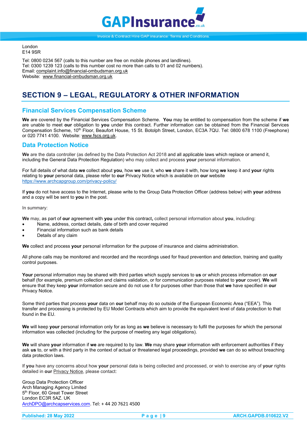

London E14 9SR

Tel: 0800 0234 567 (calls to this number are free on mobile phones and landlines). Tel: 0300 1239 123 (calls to this number cost no more than calls to 01 and 02 numbers). Email[: complaint.info@financial-ombudsman.org.uk](mailto:complaint.info@financial-ombudsman.org.uk) Website: [www.financial-ombudsman.org.uk](http://www.financial-ombudsman.org.uk/)

# <span id="page-9-0"></span>**SECTION 9 – LEGAL, REGULATORY & OTHER INFORMATION**

# <span id="page-9-1"></span>**Financial Services Compensation Scheme**

**We** are covered by the Financial Services Compensation Scheme. **You** may be entitled to compensation from the scheme if **we**  are unable to meet **our** obligation to **you** under this contract. Further information can be obtained from the Financial Services Compensation Scheme, 10th Floor, Beaufort House, 15 St. Botolph Street, London, EC3A 7QU. Tel: 0800 678 1100 (Freephone) or 020 7741 4100. Website[: www.fscs.org.uk.](http://www.fscs.org.uk/)

### <span id="page-9-2"></span>**Data Protection Notice**

**We** are the data controller (as defined by the Data Protection Act 2018 and all applicable laws which replace or amend it, including the General Data Protection Regulation) who may collect and process **your** personal information.

For full details of what data **we** collect about **you**, how **we** use it, who **we** share it with, how long **we** keep it and **your** rights relating to **your** personal data, please refer to **our** Privacy Notice which is available on **our** website <https://www.archcapgroup.com/privacy-policy/>

If **you** do not have access to the Internet, please write to the Group Data Protection Officer (address below) with **your** address and a copy will be sent to **you** in the post.

In summary:

**We** may, as part of **our** agreement with **you** under this contract**,** collect personal information about **you**, including:

- Name, address, contact details, date of birth and cover required
- Financial information such as bank details
- Details of any claim

**We** collect and process **your** personal information for the purpose of insurance and claims administration.

All phone calls may be monitored and recorded and the recordings used for fraud prevention and detection, training and quality control purposes.

**Your** personal information may be shared with third parties which supply services to **us** or which process information on **our** behalf (for example, premium collection and claims validation, or for communication purposes related to **your** cover). **We** will ensure that they keep **your** information secure and do not use it for purposes other than those that **we** have specified in **our** Privacy Notice.

Some third parties that process **your** data on **our** behalf may do so outside of the European Economic Area ("EEA"). This transfer and processing is protected by EU Model Contracts which aim to provide the equivalent level of data protection to that found in the EU.

**We** will keep **your** personal information only for as long as **we** believe is necessary to fulfil the purposes for which the personal information was collected (including for the purpose of meeting any legal obligations).

**We** will share **your** information if **we** are required to by law. **We** may share **your** information with enforcement authorities if they ask **us** to, or with a third party in the context of actual or threatened legal proceedings, provided **we** can do so without breaching data protection laws.

If **you** have any concerns about how **your** personal data is being collected and processed, or wish to exercise any of **your** rights detailed in **our** Privacy Notice, please contact:

Group Data Protection Officer Arch Managing Agency Limited 5th Floor, 60 Great Tower Street London EC3R 5AZ. UK [ArchDPO@archcapservices.com.](mailto:ArchDPO@archcapservices.com) Tel: + 44 20 7621 4500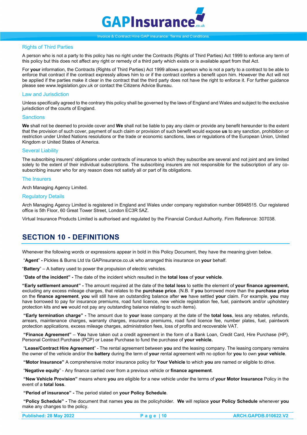

### <span id="page-10-0"></span>Rights of Third Parties

A person who is not a party to this policy has no right under the Contracts (Rights of Third Parties) Act 1999 to enforce any term of this policy but this does not affect any right or remedy of a third party which exists or is available apart from that Act.

For **your** information, the Contracts (Rights of Third Parties) Act 1999 allows a person who is not a party to a contract to be able to enforce that contract if the contract expressly allows him to or if the contract confers a benefit upon him. However the Act will not be applied if the parties make it clear in the contract that the third party does not have the right to enforce it. For further guidance please see www.legislation.gov.uk or contact the Citizens Advice Bureau.

#### <span id="page-10-1"></span>Law and Jurisdiction

Unless specifically agreed to the contrary this policy shall be governed by the laws of England and Wales and subject to the exclusive jurisdiction of the courts of England.

#### <span id="page-10-2"></span>**Sanctions**

**We** shall not be deemed to provide cover and **We** shall not be liable to pay any claim or provide any benefit hereunder to the extent that the provision of such cover, payment of such claim or provision of such benefit would expose **us** to any sanction, prohibition or restriction under United Nations resolutions or the trade or economic sanctions, laws or regulations of the European Union, United Kingdom or United States of America.

#### <span id="page-10-3"></span>Several Liability

The subscribing insurers' obligations under contracts of insurance to which they subscribe are several and not joint and are limited solely to the extent of their individual subscriptions. The subscribing insurers are not responsible for the subscription of any cosubscribing insurer who for any reason does not satisfy all or part of its obligations.

#### <span id="page-10-4"></span>The Insurers

Arch Managing Agency Limited.

#### <span id="page-10-5"></span>Regulatory Details

Arch Managing Agency Limited is registered in England and Wales under company registration number 06948515. Our registered office is 5th Floor, 60 Great Tower Street, London EC3R 5AZ.

Virtual Insurance Products Limited is authorised and regulated by the Financial Conduct Authority. Firm Reference: 307038.

# <span id="page-10-6"></span>**SECTION 10 - DEFINITIONS**

Whenever the following words or expressions appear in bold in this Policy Document, they have the meaning given below.

"**Agent**" **-** Pickles & Burns Ltd t/a GAPinsurance.co.uk who arranged this insurance on **your** behalf.

"**Battery**" – A battery used to power the propulsion of electric vehicles.

"**Date of the incident" -** The date of the incident which resulted in the **total loss** of **your vehicle**.

**"Early settlement amount" -** The amount required at the date of the **total loss** to settle the element of **your finance agreement,** excluding any excess mileage charges, that relates to the **purchase price**. (N.B. If **you** borrowed more than the **purchase price** on the **finance agreement**, **you** will still have an outstanding balance after **we** have settled **your** claim. For example, **you** may have borrowed to pay for insurance premiums, road fund licence, new vehicle registration fee, fuel, paintwork and/or upholstery protection kits and **we** would not pay any outstanding balance relating to such items).

**"Early termination charge" -** The amount due to **your** lease company at the date of the **total loss**, less any rebates, refunds, arrears, maintenance charges, warranty charges, insurance premiums, road fund licence fee, number plates, fuel, paintwork protection applications, excess mileage charges, administration fees, loss of profits and recoverable VAT.

**"Finance Agreement"** – **You** have taken out a credit agreement in the form of a Bank Loan, Credit Card, Hire Purchase (HP), Personal Contract Purchase (PCP) or Lease Purchase to fund the purchase of **your vehicle.** 

"**Lease/Contract Hire Agreement**" - The rental agreement between **you** and the leasing company. The leasing company remains the owner of the vehicle and/or the **battery** during the term of **your** rental agreement with no option for **you** to own **your vehicle**.

**"Motor Insurance"** A comprehensive motor insurance policy for **Your Vehicle** to which **you** are named or eligible to drive.

"**Negative equity**" - Any finance carried over from a previous vehicle or **finance agreement**.

**"New Vehicle Provision"** means where **you** are eligible for a new vehicle under the terms of **your Motor Insurance** Policy in the event of a **total loss**.

**"Period of insurance" -** The period stated on **your Policy Schedule**.

**"Policy Schedule" -** The document that names **you** as the policyholder. **We** will replace **your Policy Schedule** whenever **you** make any changes to the policy.